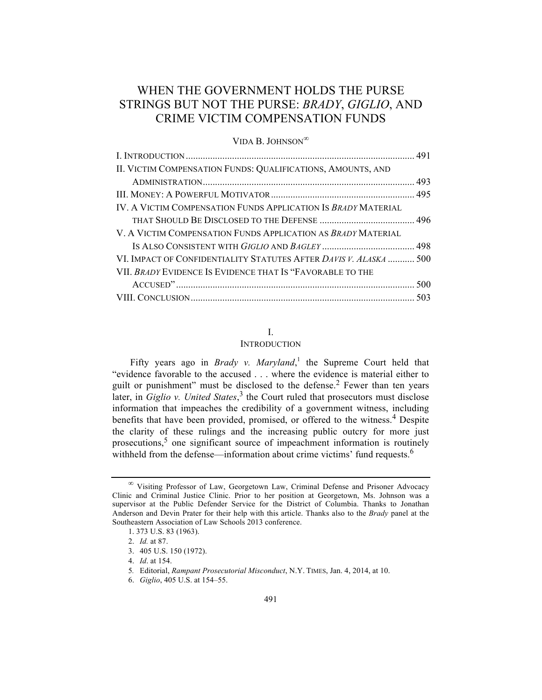# WHEN THE GOVERNMENT HOLDS THE PURSE STRINGS BUT NOT THE PURSE: *BRADY*, *GIGLIO*, AND CRIME VICTIM COMPENSATION FUNDS

VIDA B. JOHNSON<sup>∞</sup>

| II. VICTIM COMPENSATION FUNDS: QUALIFICATIONS, AMOUNTS, AND       |  |
|-------------------------------------------------------------------|--|
|                                                                   |  |
|                                                                   |  |
| IV. A VICTIM COMPENSATION FUNDS APPLICATION IS BRADY MATERIAL     |  |
|                                                                   |  |
| V. A VICTIM COMPENSATION FUNDS APPLICATION AS BRADY MATERIAL      |  |
|                                                                   |  |
| VI. IMPACT OF CONFIDENTIALITY STATUTES AFTER DAVIS V. ALASKA  500 |  |
| VII. BRADY EVIDENCE IS EVIDENCE THAT IS "FAVORABLE TO THE         |  |
|                                                                   |  |
|                                                                   |  |

# I.

### INTRODUCTION

Fifty years ago in *Brady v. Maryland*,<sup>1</sup> the Supreme Court held that "evidence favorable to the accused . . . where the evidence is material either to guilt or punishment" must be disclosed to the defense.<sup>2</sup> Fewer than ten years later, in *Giglio v. United States*, <sup>3</sup> the Court ruled that prosecutors must disclose information that impeaches the credibility of a government witness, including benefits that have been provided, promised, or offered to the witness.<sup>4</sup> Despite the clarity of these rulings and the increasing public outcry for more just prosecutions,<sup>5</sup> one significant source of impeachment information is routinely withheld from the defense—information about crime victims' fund requests.<sup>6</sup>

<sup>∞</sup> Visiting Professor of Law, Georgetown Law, Criminal Defense and Prisoner Advocacy Clinic and Criminal Justice Clinic. Prior to her position at Georgetown, Ms. Johnson was a supervisor at the Public Defender Service for the District of Columbia. Thanks to Jonathan Anderson and Devin Prater for their help with this article. Thanks also to the *Brady* panel at the Southeastern Association of Law Schools 2013 conference.

<sup>1. 373</sup> U.S. 83 (1963).

<sup>2.</sup> *Id.* at 87.

<sup>3.</sup> 405 U.S. 150 (1972).

<sup>4.</sup> *Id*. at 154.

<sup>5</sup>*.* Editorial, *Rampant Prosecutorial Misconduct*, N.Y. TIMES, Jan. 4, 2014, at 10.

<sup>6.</sup> *Giglio*, 405 U.S. at 154–55.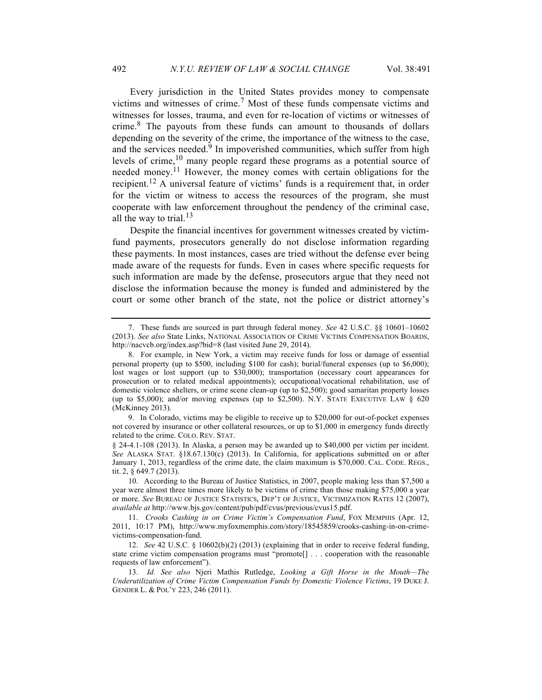Every jurisdiction in the United States provides money to compensate victims and witnesses of crime.<sup>7</sup> Most of these funds compensate victims and witnesses for losses, trauma, and even for re-location of victims or witnesses of crime.<sup>8</sup> The payouts from these funds can amount to thousands of dollars depending on the severity of the crime, the importance of the witness to the case, and the services needed.<sup>9</sup> In impoverished communities, which suffer from high levels of crime,  $10$  many people regard these programs as a potential source of needed money.11 However, the money comes with certain obligations for the recipient.<sup>12</sup> A universal feature of victims' funds is a requirement that, in order for the victim or witness to access the resources of the program, she must cooperate with law enforcement throughout the pendency of the criminal case, all the way to trial. $^{13}$ 

Despite the financial incentives for government witnesses created by victimfund payments, prosecutors generally do not disclose information regarding these payments. In most instances, cases are tried without the defense ever being made aware of the requests for funds. Even in cases where specific requests for such information are made by the defense, prosecutors argue that they need not disclose the information because the money is funded and administered by the court or some other branch of the state, not the police or district attorney's

<sup>7.</sup> These funds are sourced in part through federal money. *See* 42 U.S.C. §§ 10601–10602 (2013). *See also* State Links, NATIONAL ASSOCIATION OF CRIME VICTIMS COMPENSATION BOARDS, http://nacvcb.org/index.asp?bid=8 (last visited June 29, 2014).

<sup>8.</sup> For example, in New York, a victim may receive funds for loss or damage of essential personal property (up to \$500, including \$100 for cash); burial/funeral expenses (up to \$6,000); lost wages or lost support (up to \$30,000); transportation (necessary court appearances for prosecution or to related medical appointments); occupational/vocational rehabilitation, use of domestic violence shelters, or crime scene clean-up (up to \$2,500); good samaritan property losses (up to \$5,000); and/or moving expenses (up to \$2,500). N.Y. STATE EXECUTIVE LAW § 620 (McKinney 2013).

<sup>9.</sup> In Colorado, victims may be eligible to receive up to \$20,000 for out-of-pocket expenses not covered by insurance or other collateral resources, or up to \$1,000 in emergency funds directly related to the crime. COLO. REV. STAT.

<sup>§ 24-4.1-108 (2013).</sup> In Alaska, a person may be awarded up to \$40,000 per victim per incident. *See* ALASKA STAT. §18.67.130(c) (2013). In California, for applications submitted on or after January 1, 2013, regardless of the crime date, the claim maximum is \$70,000. CAL. CODE. REGS., tit. 2, § 649.7 (2013).

<sup>10.</sup> According to the Bureau of Justice Statistics, in 2007, people making less than \$7,500 a year were almost three times more likely to be victims of crime than those making \$75,000 a year or more. *See* BUREAU OF JUSTICE STATISTICS, DEP'T OF JUSTICE, VICTIMIZATION RATES 12 (2007), *available at* http://www.bjs.gov/content/pub/pdf/cvus/previous/cvus15.pdf.

<sup>11.</sup> *Crooks Cashing in on Crime Victim's Compensation Fund*, FOX MEMPHIS (Apr. 12, 2011, 10:17 PM), http://www.myfoxmemphis.com/story/18545859/crooks-cashing-in-on-crimevictims-compensation-fund.

<sup>12.</sup> *See* 42 U.S.C. § 10602(b)(2) (2013) (explaining that in order to receive federal funding, state crime victim compensation programs must "promote[] . . . cooperation with the reasonable requests of law enforcement").

<sup>13.</sup> *Id. See also* Njeri Mathis Rutledge, *Looking a Gift Horse in the Mouth—The Underutilization of Crime Victim Compensation Funds by Domestic Violence Victims*, 19 DUKE J. GENDER L. & POL'Y 223, 246 (2011).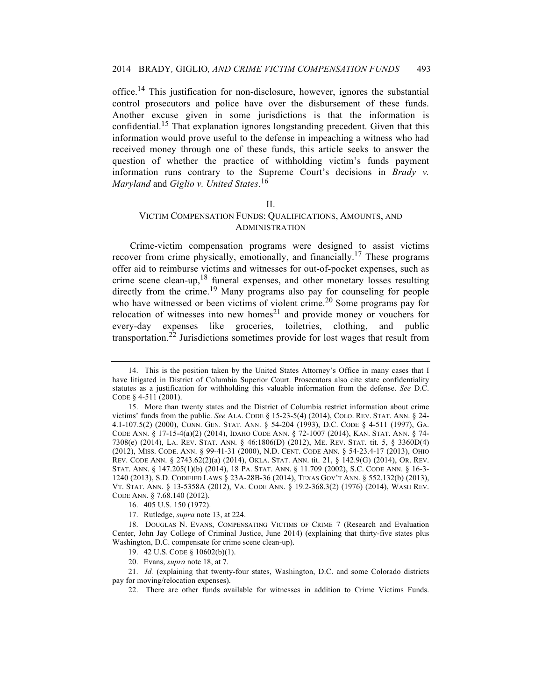office.14 This justification for non-disclosure, however, ignores the substantial control prosecutors and police have over the disbursement of these funds. Another excuse given in some jurisdictions is that the information is confidential.15 That explanation ignores longstanding precedent. Given that this information would prove useful to the defense in impeaching a witness who had received money through one of these funds, this article seeks to answer the question of whether the practice of withholding victim's funds payment information runs contrary to the Supreme Court's decisions in *Brady v. Maryland* and *Giglio v. United States*. 16

#### II.

# VICTIM COMPENSATION FUNDS: QUALIFICATIONS, AMOUNTS, AND ADMINISTRATION

Crime-victim compensation programs were designed to assist victims recover from crime physically, emotionally, and financially.<sup>17</sup> These programs offer aid to reimburse victims and witnesses for out-of-pocket expenses, such as crime scene clean-up,<sup>18</sup> funeral expenses, and other monetary losses resulting directly from the crime.<sup>19</sup> Many programs also pay for counseling for people who have witnessed or been victims of violent crime.<sup>20</sup> Some programs pay for relocation of witnesses into new homes<sup>21</sup> and provide money or vouchers for every-day expenses like groceries, toiletries, clothing, and public transportation.<sup>22</sup> Jurisdictions sometimes provide for lost wages that result from

21. *Id.* (explaining that twenty-four states, Washington, D.C. and some Colorado districts pay for moving/relocation expenses).

22. There are other funds available for witnesses in addition to Crime Victims Funds.

<sup>14.</sup> This is the position taken by the United States Attorney's Office in many cases that I have litigated in District of Columbia Superior Court. Prosecutors also cite state confidentiality statutes as a justification for withholding this valuable information from the defense. *See* D.C. CODE § 4-511 (2001).

<sup>15.</sup> More than twenty states and the District of Columbia restrict information about crime victims' funds from the public. *See* ALA. CODE § 15-23-5(4) (2014), COLO. REV. STAT. ANN. § 24- 4.1-107.5(2) (2000), CONN. GEN. STAT. ANN. § 54-204 (1993), D.C. CODE § 4-511 (1997), GA. CODE ANN. § 17-15-4(a)(2) (2014), IDAHO CODE ANN. § 72-1007 (2014), KAN. STAT. ANN. § 74- 7308(e) (2014), LA. REV. STAT. ANN. § 46:1806(D) (2012), ME. REV. STAT. tit. 5, § 3360D(4) (2012), MISS. CODE. ANN. § 99-41-31 (2000), N.D. CENT. CODE ANN. § 54-23.4-17 (2013), OHIO REV. CODE ANN. § 2743.62(2)(a) (2014), OKLA. STAT. ANN. tit. 21, § 142.9(G) (2014), OR. REV. STAT. ANN. § 147.205(1)(b) (2014), 18 PA. STAT. ANN. § 11.709 (2002), S.C. CODE ANN. § 16-3- 1240 (2013), S.D. CODIFIED LAWS § 23A-28B-36 (2014), TEXAS GOV'T ANN. § 552.132(b) (2013), VT. STAT. ANN. § 13-5358A (2012), VA. CODE ANN. § 19.2-368.3(2) (1976) (2014), WASH REV. CODE ANN. § 7.68.140 (2012).

<sup>16.</sup> 405 U.S. 150 (1972).

<sup>17.</sup> Rutledge, *supra* note 13, at 224.

<sup>18.</sup> DOUGLAS N. EVANS, COMPENSATING VICTIMS OF CRIME 7 (Research and Evaluation Center, John Jay College of Criminal Justice, June 2014) (explaining that thirty-five states plus Washington, D.C. compensate for crime scene clean-up).

<sup>19.</sup> 42 U.S. CODE § 10602(b)(1).

<sup>20.</sup> Evans, *supra* note 18, at 7.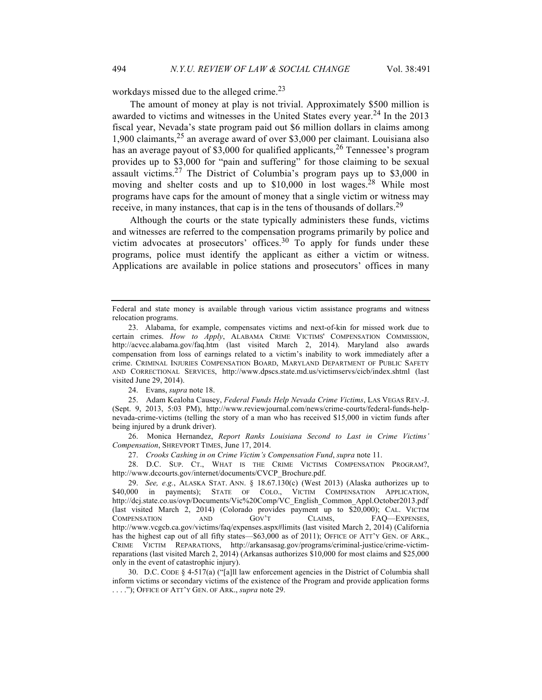workdays missed due to the alleged crime.<sup>23</sup>

The amount of money at play is not trivial. Approximately \$500 million is awarded to victims and witnesses in the United States every year.<sup>24</sup> In the 2013 fiscal year, Nevada's state program paid out \$6 million dollars in claims among 1,900 claimants,<sup>25</sup> an average award of over \$3,000 per claimant. Louisiana also has an average payout of \$3,000 for qualified applicants,  $2<sup>6</sup>$  Tennessee's program provides up to \$3,000 for "pain and suffering" for those claiming to be sexual assault victims.<sup>27</sup> The District of Columbia's program pays up to \$3,000 in moving and shelter costs and up to  $$10,000$  in lost wages.<sup>28</sup> While most programs have caps for the amount of money that a single victim or witness may receive, in many instances, that cap is in the tens of thousands of dollars.<sup>29</sup>

Although the courts or the state typically administers these funds, victims and witnesses are referred to the compensation programs primarily by police and victim advocates at prosecutors' offices.<sup>30</sup> To apply for funds under these programs, police must identify the applicant as either a victim or witness. Applications are available in police stations and prosecutors' offices in many

24. Evans, *supra* note 18.

25. Adam Kealoha Causey, *Federal Funds Help Nevada Crime Victims*, LAS VEGAS REV.-J. (Sept. 9, 2013, 5:03 PM), http://www.reviewjournal.com/news/crime-courts/federal-funds-helpnevada-crime-victims (telling the story of a man who has received \$15,000 in victim funds after being injured by a drunk driver).

26. Monica Hernandez, *Report Ranks Louisiana Second to Last in Crime Victims' Compensation*, SHREVPORT TIMES, June 17, 2014.

27. *Crooks Cashing in on Crime Victim's Compensation Fund*, *supra* note 11.

28. D.C. SUP. CT., WHAT IS THE CRIME VICTIMS COMPENSATION PROGRAM?, http://www.dccourts.gov/internet/documents/CVCP\_Brochure.pdf.

29. *See, e.g.*, ALASKA STAT. ANN. § 18.67.130(c) (West 2013) (Alaska authorizes up to \$40,000 in payments); STATE OF COLO., VICTIM COMPENSATION APPLICATION, http://dcj.state.co.us/ovp/Documents/Vic%20Comp/VC\_English\_Common\_Appl.October2013.pdf (last visited March 2, 2014) (Colorado provides payment up to \$20,000); CAL. VICTIM COMPENSATION AND GOV'T CLAIMS, FAQ—EXPENSES, http://www.vcgcb.ca.gov/victims/faq/expenses.aspx#limits (last visited March 2, 2014) (California has the highest cap out of all fifty states—\$63,000 as of 2011); OFFICE OF ATT'Y GEN. OF ARK., CRIME VICTIM REPARATIONS, http://arkansasag.gov/programs/criminal-justice/crime-victimreparations (last visited March 2, 2014) (Arkansas authorizes \$10,000 for most claims and \$25,000 only in the event of catastrophic injury).

30. D.C. CODE § 4-517(a) ("[a]ll law enforcement agencies in the District of Columbia shall inform victims or secondary victims of the existence of the Program and provide application forms . . . ."); OFFICE OF ATT'Y GEN. OF ARK., *supra* note 29.

Federal and state money is available through various victim assistance programs and witness relocation programs.

<sup>23.</sup> Alabama, for example, compensates victims and next-of-kin for missed work due to certain crimes. *How to Apply*, ALABAMA CRIME VICTIMS' COMPENSATION COMMISSION, http://acvcc.alabama.gov/faq.htm (last visited March 2, 2014). Maryland also awards compensation from loss of earnings related to a victim's inability to work immediately after a crime. CRIMINAL INJURIES COMPENSATION BOARD, MARYLAND DEPARTMENT OF PUBLIC SAFETY AND CORRECTIONAL SERVICES, http://www.dpscs.state.md.us/victimservs/cicb/index.shtml (last visited June 29, 2014).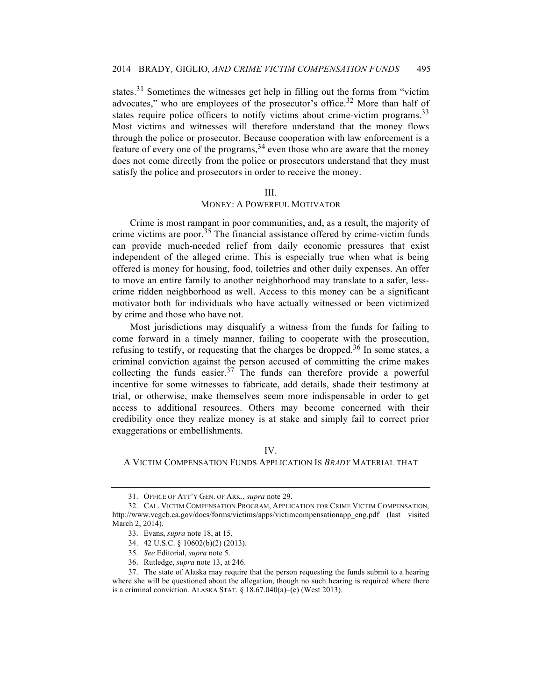states.<sup>31</sup> Sometimes the witnesses get help in filling out the forms from "victim" advocates," who are employees of the prosecutor's office.<sup>32</sup> More than half of states require police officers to notify victims about crime-victim programs.<sup>33</sup> Most victims and witnesses will therefore understand that the money flows through the police or prosecutor. Because cooperation with law enforcement is a feature of every one of the programs,  $34$  even those who are aware that the money does not come directly from the police or prosecutors understand that they must satisfy the police and prosecutors in order to receive the money.

#### III.

### MONEY: A POWERFUL MOTIVATOR

Crime is most rampant in poor communities, and, as a result, the majority of crime victims are poor.<sup>35</sup> The financial assistance offered by crime-victim funds can provide much-needed relief from daily economic pressures that exist independent of the alleged crime. This is especially true when what is being offered is money for housing, food, toiletries and other daily expenses. An offer to move an entire family to another neighborhood may translate to a safer, lesscrime ridden neighborhood as well. Access to this money can be a significant motivator both for individuals who have actually witnessed or been victimized by crime and those who have not.

Most jurisdictions may disqualify a witness from the funds for failing to come forward in a timely manner, failing to cooperate with the prosecution, refusing to testify, or requesting that the charges be dropped.<sup>36</sup> In some states, a criminal conviction against the person accused of committing the crime makes collecting the funds easier. $37$  The funds can therefore provide a powerful incentive for some witnesses to fabricate, add details, shade their testimony at trial, or otherwise, make themselves seem more indispensable in order to get access to additional resources. Others may become concerned with their credibility once they realize money is at stake and simply fail to correct prior exaggerations or embellishments.

#### IV.

### A VICTIM COMPENSATION FUNDS APPLICATION IS *BRADY* MATERIAL THAT

<sup>31.</sup> OFFICE OF ATT'Y GEN. OF ARK., *supra* note 29.

<sup>32.</sup> CAL. VICTIM COMPENSATION PROGRAM, APPLICATION FOR CRIME VICTIM COMPENSATION, http://www.vcgcb.ca.gov/docs/forms/victims/apps/victimcompensationapp\_eng.pdf (last visited March 2, 2014).

<sup>33.</sup> Evans, *supra* note 18, at 15.

<sup>34.</sup> 42 U.S.C. § 10602(b)(2) (2013).

<sup>35.</sup> *See* Editorial, *supra* note 5.

<sup>36.</sup> Rutledge, *supra* note 13, at 246.

<sup>37.</sup> The state of Alaska may require that the person requesting the funds submit to a hearing where she will be questioned about the allegation, though no such hearing is required where there is a criminal conviction. ALASKA STAT. § 18.67.040(a)–(e) (West 2013).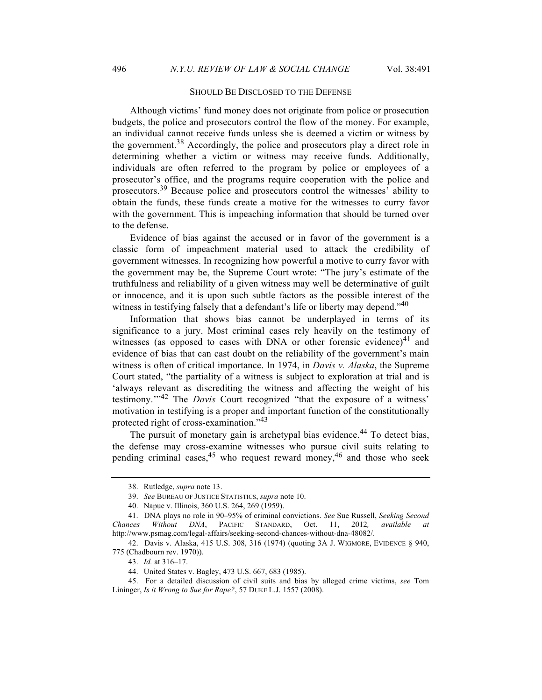### SHOULD BE DISCLOSED TO THE DEFENSE

Although victims' fund money does not originate from police or prosecution budgets, the police and prosecutors control the flow of the money. For example, an individual cannot receive funds unless she is deemed a victim or witness by the government.<sup>38</sup> Accordingly, the police and prosecutors play a direct role in determining whether a victim or witness may receive funds. Additionally, individuals are often referred to the program by police or employees of a prosecutor's office, and the programs require cooperation with the police and prosecutors.<sup>39</sup> Because police and prosecutors control the witnesses' ability to obtain the funds, these funds create a motive for the witnesses to curry favor with the government. This is impeaching information that should be turned over to the defense.

Evidence of bias against the accused or in favor of the government is a classic form of impeachment material used to attack the credibility of government witnesses. In recognizing how powerful a motive to curry favor with the government may be, the Supreme Court wrote: "The jury's estimate of the truthfulness and reliability of a given witness may well be determinative of guilt or innocence, and it is upon such subtle factors as the possible interest of the witness in testifying falsely that a defendant's life or liberty may depend."<sup>40</sup>

Information that shows bias cannot be underplayed in terms of its significance to a jury. Most criminal cases rely heavily on the testimony of witnesses (as opposed to cases with DNA or other forensic evidence) $41$  and evidence of bias that can cast doubt on the reliability of the government's main witness is often of critical importance. In 1974, in *Davis v. Alaska*, the Supreme Court stated, "the partiality of a witness is subject to exploration at trial and is 'always relevant as discrediting the witness and affecting the weight of his testimony.'"<sup>42</sup> The *Davis* Court recognized "that the exposure of a witness' motivation in testifying is a proper and important function of the constitutionally protected right of cross-examination."<sup>43</sup>

The pursuit of monetary gain is archetypal bias evidence.<sup>44</sup> To detect bias, the defense may cross-examine witnesses who pursue civil suits relating to pending criminal cases,  $45$  who request reward money,  $46$  and those who seek

<sup>38.</sup> Rutledge, *supra* note 13.

<sup>39.</sup> *See* BUREAU OF JUSTICE STATISTICS, *supra* note 10.

<sup>40.</sup> Napue v. Illinois, 360 U.S. 264, 269 (1959).

<sup>41.</sup> DNA plays no role in 90–95% of criminal convictions. *See* Sue Russell, *Seeking Second Chances Without DNA*, PACIFIC STANDARD, Oct. 11, 2012*, available at* http://www.psmag.com/legal-affairs/seeking-second-chances-without-dna-48082/.

<sup>42.</sup> Davis v. Alaska, 415 U.S. 308, 316 (1974) (quoting 3A J. WIGMORE, EVIDENCE § 940, 775 (Chadbourn rev. 1970)).

<sup>43.</sup> *Id.* at 316–17.

<sup>44.</sup> United States v. Bagley, 473 U.S. 667, 683 (1985).

<sup>45.</sup> For a detailed discussion of civil suits and bias by alleged crime victims, *see* Tom Lininger, *Is it Wrong to Sue for Rape?*, 57 DUKE L.J. 1557 (2008).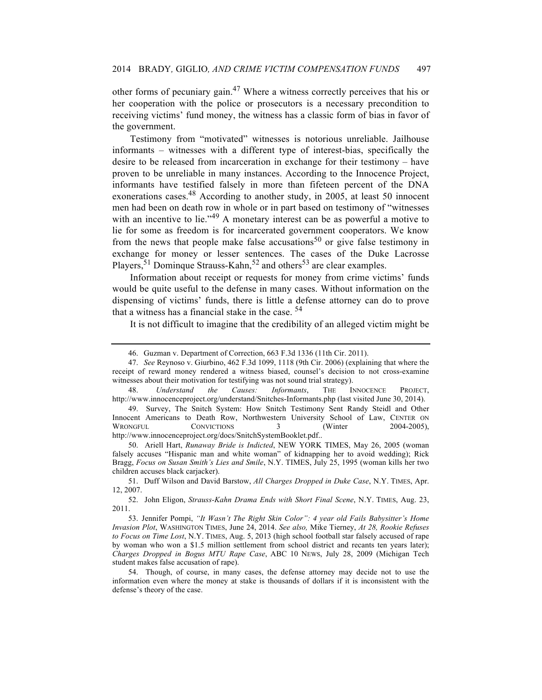other forms of pecuniary gain.<sup>47</sup> Where a witness correctly perceives that his or her cooperation with the police or prosecutors is a necessary precondition to receiving victims' fund money, the witness has a classic form of bias in favor of the government.

Testimony from "motivated" witnesses is notorious unreliable. Jailhouse informants – witnesses with a different type of interest-bias, specifically the desire to be released from incarceration in exchange for their testimony – have proven to be unreliable in many instances. According to the Innocence Project, informants have testified falsely in more than fifeteen percent of the DNA exonerations cases.48 According to another study, in 2005, at least 50 innocent men had been on death row in whole or in part based on testimony of "witnesses with an incentive to lie."<sup>49</sup> A monetary interest can be as powerful a motive to lie for some as freedom is for incarcerated government cooperators. We know from the news that people make false accusations<sup>50</sup> or give false testimony in exchange for money or lesser sentences. The cases of the Duke Lacrosse Players,<sup>51</sup> Dominque Strauss-Kahn,<sup>52</sup> and others<sup>53</sup> are clear examples.

Information about receipt or requests for money from crime victims' funds would be quite useful to the defense in many cases. Without information on the dispensing of victims' funds, there is little a defense attorney can do to prove that a witness has a financial stake in the case. <sup>54</sup>

It is not difficult to imagine that the credibility of an alleged victim might be

50. Ariell Hart, *Runaway Bride is Indicted*, NEW YORK TIMES, May 26, 2005 (woman falsely accuses "Hispanic man and white woman" of kidnapping her to avoid wedding); Rick Bragg, *Focus on Susan Smith's Lies and Smile*, N.Y. TIMES, July 25, 1995 (woman kills her two children accuses black carjacker).

<sup>46.</sup> Guzman v. Department of Correction, 663 F.3d 1336 (11th Cir. 2011).

<sup>47.</sup> *See* Reynoso v. Giurbino, 462 F.3d 1099, 1118 (9th Cir. 2006) (explaining that where the receipt of reward money rendered a witness biased, counsel's decision to not cross-examine witnesses about their motivation for testifying was not sound trial strategy).

<sup>48.</sup> *Understand the Causes: Informants*, THE INNOCENCE PROJECT, http://www.innocenceproject.org/understand/Snitches-Informants.php (last visited June 30, 2014).

<sup>49.</sup> Survey, The Snitch System: How Snitch Testimony Sent Randy Steidl and Other Innocent Americans to Death Row, Northwestern University School of Law, CENTER ON WRONGFUL CONVICTIONS 3 (Winter 2004-2005), http://www.innocenceproject.org/docs/SnitchSystemBooklet.pdf..

<sup>51.</sup> Duff Wilson and David Barstow, *All Charges Dropped in Duke Case*, N.Y. TIMES, Apr. 12, 2007.

<sup>52.</sup> John Eligon, *Strauss-Kahn Drama Ends with Short Final Scene*, N.Y. TIMES, Aug. 23, 2011.

<sup>53.</sup> Jennifer Pompi, *"It Wasn't The Right Skin Color": 4 year old Fails Babysitter's Home Invasion Plot*, WASHINGTON TIMES, June 24, 2014. *See also,* Mike Tierney, *At 28, Rookie Refuses to Focus on Time Lost*, N.Y. TIMES, Aug. 5, 2013 (high school football star falsely accused of rape by woman who won a \$1.5 million settlement from school district and recants ten years later); *Charges Dropped in Bogus MTU Rape Case*, ABC 10 NEWS, July 28, 2009 (Michigan Tech student makes false accusation of rape).

<sup>54.</sup> Though, of course, in many cases, the defense attorney may decide not to use the information even where the money at stake is thousands of dollars if it is inconsistent with the defense's theory of the case.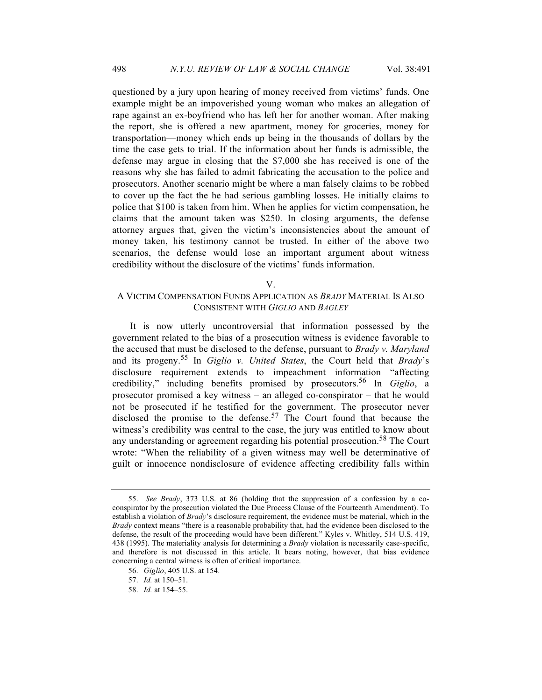questioned by a jury upon hearing of money received from victims' funds. One example might be an impoverished young woman who makes an allegation of rape against an ex-boyfriend who has left her for another woman. After making the report, she is offered a new apartment, money for groceries, money for transportation—money which ends up being in the thousands of dollars by the time the case gets to trial. If the information about her funds is admissible, the defense may argue in closing that the \$7,000 she has received is one of the reasons why she has failed to admit fabricating the accusation to the police and prosecutors. Another scenario might be where a man falsely claims to be robbed to cover up the fact the he had serious gambling losses. He initially claims to police that \$100 is taken from him. When he applies for victim compensation, he claims that the amount taken was \$250. In closing arguments, the defense attorney argues that, given the victim's inconsistencies about the amount of money taken, his testimony cannot be trusted. In either of the above two scenarios, the defense would lose an important argument about witness credibility without the disclosure of the victims' funds information.

V.

# A VICTIM COMPENSATION FUNDS APPLICATION AS *BRADY* MATERIAL IS ALSO CONSISTENT WITH *GIGLIO* AND *BAGLEY*

It is now utterly uncontroversial that information possessed by the government related to the bias of a prosecution witness is evidence favorable to the accused that must be disclosed to the defense, pursuant to *Brady v. Maryland* and its progeny.<sup>55</sup> In *Giglio v. United States*, the Court held that *Brady*'s disclosure requirement extends to impeachment information "affecting credibility," including benefits promised by prosecutors.<sup>56</sup> In *Giglio*, a prosecutor promised a key witness – an alleged co-conspirator – that he would not be prosecuted if he testified for the government. The prosecutor never disclosed the promise to the defense.<sup>57</sup> The Court found that because the witness's credibility was central to the case, the jury was entitled to know about any understanding or agreement regarding his potential prosecution.<sup>58</sup> The Court wrote: "When the reliability of a given witness may well be determinative of guilt or innocence nondisclosure of evidence affecting credibility falls within

<sup>55.</sup> *See Brady*, 373 U.S. at 86 (holding that the suppression of a confession by a coconspirator by the prosecution violated the Due Process Clause of the Fourteenth Amendment). To establish a violation of *Brady*'s disclosure requirement, the evidence must be material, which in the *Brady* context means "there is a reasonable probability that, had the evidence been disclosed to the defense, the result of the proceeding would have been different." Kyles v. Whitley, 514 U.S. 419, 438 (1995). The materiality analysis for determining a *Brady* violation is necessarily case-specific, and therefore is not discussed in this article. It bears noting, however, that bias evidence concerning a central witness is often of critical importance.

<sup>56.</sup> *Giglio*, 405 U.S. at 154.

<sup>57.</sup> *Id.* at 150–51.

<sup>58.</sup> *Id.* at 154–55.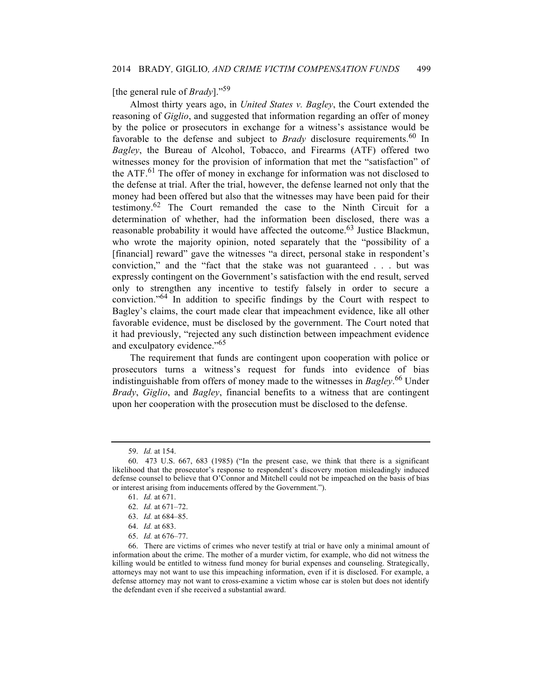# [the general rule of *Brady*]."59

Almost thirty years ago, in *United States v. Bagley*, the Court extended the reasoning of *Giglio*, and suggested that information regarding an offer of money by the police or prosecutors in exchange for a witness's assistance would be favorable to the defense and subject to *Brady* disclosure requirements.<sup>60</sup> In *Bagley*, the Bureau of Alcohol, Tobacco, and Firearms (ATF) offered two witnesses money for the provision of information that met the "satisfaction" of the ATF.<sup>61</sup> The offer of money in exchange for information was not disclosed to the defense at trial. After the trial, however, the defense learned not only that the money had been offered but also that the witnesses may have been paid for their testimony.<sup>62</sup> The Court remanded the case to the Ninth Circuit for a determination of whether, had the information been disclosed, there was a reasonable probability it would have affected the outcome.<sup>63</sup> Justice Blackmun, who wrote the majority opinion, noted separately that the "possibility of a [financial] reward" gave the witnesses "a direct, personal stake in respondent's conviction," and the "fact that the stake was not guaranteed . . . but was expressly contingent on the Government's satisfaction with the end result, served only to strengthen any incentive to testify falsely in order to secure a conviction."<sup>64</sup> In addition to specific findings by the Court with respect to Bagley's claims, the court made clear that impeachment evidence, like all other favorable evidence, must be disclosed by the government. The Court noted that it had previously, "rejected any such distinction between impeachment evidence and exculpatory evidence."<sup>65</sup>

The requirement that funds are contingent upon cooperation with police or prosecutors turns a witness's request for funds into evidence of bias indistinguishable from offers of money made to the witnesses in *Bagley*. <sup>66</sup> Under *Brady*, *Giglio*, and *Bagley*, financial benefits to a witness that are contingent upon her cooperation with the prosecution must be disclosed to the defense.

<sup>59.</sup> *Id.* at 154.

<sup>60.</sup> 473 U.S. 667, 683 (1985) ("In the present case, we think that there is a significant likelihood that the prosecutor's response to respondent's discovery motion misleadingly induced defense counsel to believe that O'Connor and Mitchell could not be impeached on the basis of bias or interest arising from inducements offered by the Government.").

<sup>61.</sup> *Id.* at 671.

<sup>62.</sup> *Id.* at 671–72.

<sup>63.</sup> *Id.* at 684–85.

<sup>64.</sup> *Id.* at 683.

<sup>65.</sup> *Id.* at 676–77.

<sup>66.</sup> There are victims of crimes who never testify at trial or have only a minimal amount of information about the crime. The mother of a murder victim, for example, who did not witness the killing would be entitled to witness fund money for burial expenses and counseling. Strategically, attorneys may not want to use this impeaching information, even if it is disclosed. For example, a defense attorney may not want to cross-examine a victim whose car is stolen but does not identify the defendant even if she received a substantial award.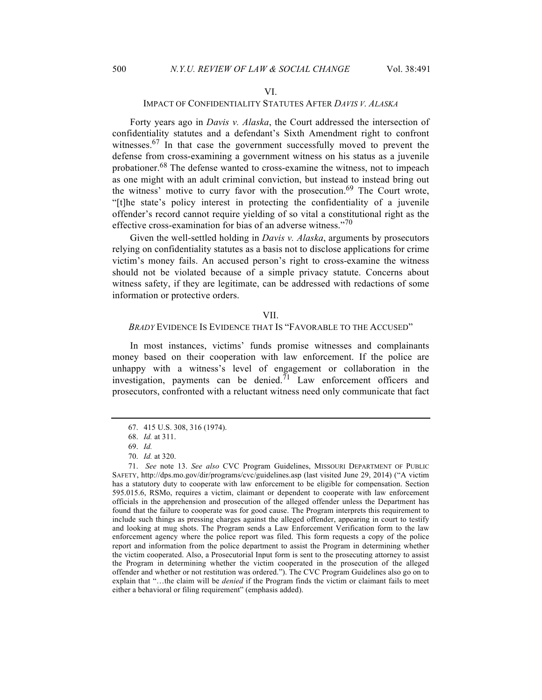#### VI.

### IMPACT OF CONFIDENTIALITY STATUTES AFTER *DAVIS V. ALASKA*

Forty years ago in *Davis v. Alaska*, the Court addressed the intersection of confidentiality statutes and a defendant's Sixth Amendment right to confront witnesses.<sup>67</sup> In that case the government successfully moved to prevent the defense from cross-examining a government witness on his status as a juvenile probationer.<sup>68</sup> The defense wanted to cross-examine the witness, not to impeach as one might with an adult criminal conviction, but instead to instead bring out the witness' motive to curry favor with the prosecution.<sup>69</sup> The Court wrote, "[t]he state's policy interest in protecting the confidentiality of a juvenile offender's record cannot require yielding of so vital a constitutional right as the effective cross-examination for bias of an adverse witness."<sup>70</sup>

Given the well-settled holding in *Davis v. Alaska*, arguments by prosecutors relying on confidentiality statutes as a basis not to disclose applications for crime victim's money fails. An accused person's right to cross-examine the witness should not be violated because of a simple privacy statute. Concerns about witness safety, if they are legitimate, can be addressed with redactions of some information or protective orders.

#### VII.

#### *BRADY* EVIDENCE IS EVIDENCE THAT IS "FAVORABLE TO THE ACCUSED"

In most instances, victims' funds promise witnesses and complainants money based on their cooperation with law enforcement. If the police are unhappy with a witness's level of engagement or collaboration in the investigation, payments can be denied. $\bar{7}$ <sup>1</sup> Law enforcement officers and prosecutors, confronted with a reluctant witness need only communicate that fact

<sup>67.</sup> 415 U.S. 308, 316 (1974).

<sup>68.</sup> *Id.* at 311.

<sup>69.</sup> *Id.*

<sup>70.</sup> *Id.* at 320.

<sup>71.</sup> *See* note 13. *See also* CVC Program Guidelines, MISSOURI DEPARTMENT OF PUBLIC SAFETY, http://dps.mo.gov/dir/programs/cvc/guidelines.asp (last visited June 29, 2014) ("A victim has a statutory duty to cooperate with law enforcement to be eligible for compensation. Section 595.015.6, RSMo, requires a victim, claimant or dependent to cooperate with law enforcement officials in the apprehension and prosecution of the alleged offender unless the Department has found that the failure to cooperate was for good cause. The Program interprets this requirement to include such things as pressing charges against the alleged offender, appearing in court to testify and looking at mug shots. The Program sends a Law Enforcement Verification form to the law enforcement agency where the police report was filed. This form requests a copy of the police report and information from the police department to assist the Program in determining whether the victim cooperated. Also, a Prosecutorial Input form is sent to the prosecuting attorney to assist the Program in determining whether the victim cooperated in the prosecution of the alleged offender and whether or not restitution was ordered."). The CVC Program Guidelines also go on to explain that "…the claim will be *denied* if the Program finds the victim or claimant fails to meet either a behavioral or filing requirement" (emphasis added).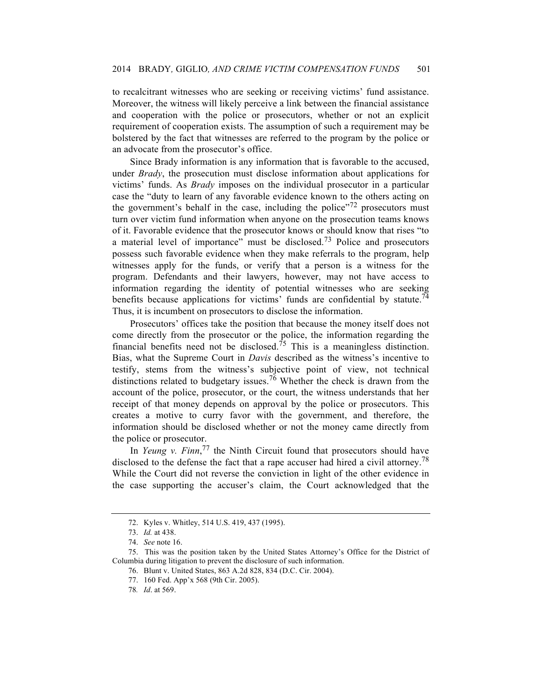to recalcitrant witnesses who are seeking or receiving victims' fund assistance. Moreover, the witness will likely perceive a link between the financial assistance and cooperation with the police or prosecutors, whether or not an explicit requirement of cooperation exists. The assumption of such a requirement may be bolstered by the fact that witnesses are referred to the program by the police or an advocate from the prosecutor's office.

Since Brady information is any information that is favorable to the accused, under *Brady*, the prosecution must disclose information about applications for victims' funds. As *Brady* imposes on the individual prosecutor in a particular case the "duty to learn of any favorable evidence known to the others acting on the government's behalf in the case, including the police $172$  prosecutors must turn over victim fund information when anyone on the prosecution teams knows of it. Favorable evidence that the prosecutor knows or should know that rises "to a material level of importance" must be disclosed.<sup>73</sup> Police and prosecutors possess such favorable evidence when they make referrals to the program, help witnesses apply for the funds, or verify that a person is a witness for the program. Defendants and their lawyers, however, may not have access to information regarding the identity of potential witnesses who are seeking benefits because applications for victims' funds are confidential by statute.<sup>74</sup> Thus, it is incumbent on prosecutors to disclose the information.

Prosecutors' offices take the position that because the money itself does not come directly from the prosecutor or the police, the information regarding the financial benefits need not be disclosed.<sup> $75$ </sup> This is a meaningless distinction. Bias, what the Supreme Court in *Davis* described as the witness's incentive to testify, stems from the witness's subjective point of view, not technical distinctions related to budgetary issues.<sup>76</sup> Whether the check is drawn from the account of the police, prosecutor, or the court, the witness understands that her receipt of that money depends on approval by the police or prosecutors. This creates a motive to curry favor with the government, and therefore, the information should be disclosed whether or not the money came directly from the police or prosecutor.

In *Yeung v. Finn*,<sup>77</sup> the Ninth Circuit found that prosecutors should have disclosed to the defense the fact that a rape accuser had hired a civil attorney.<sup>78</sup> While the Court did not reverse the conviction in light of the other evidence in the case supporting the accuser's claim, the Court acknowledged that the

<sup>72.</sup> Kyles v. Whitley, 514 U.S. 419, 437 (1995).

<sup>73.</sup> *Id.* at 438.

<sup>74.</sup> *See* note 16.

<sup>75.</sup> This was the position taken by the United States Attorney's Office for the District of Columbia during litigation to prevent the disclosure of such information.

<sup>76.</sup> Blunt v. United States, 863 A.2d 828, 834 (D.C. Cir. 2004).

<sup>77.</sup> 160 Fed. App'x 568 (9th Cir. 2005).

<sup>78</sup>*. Id*. at 569.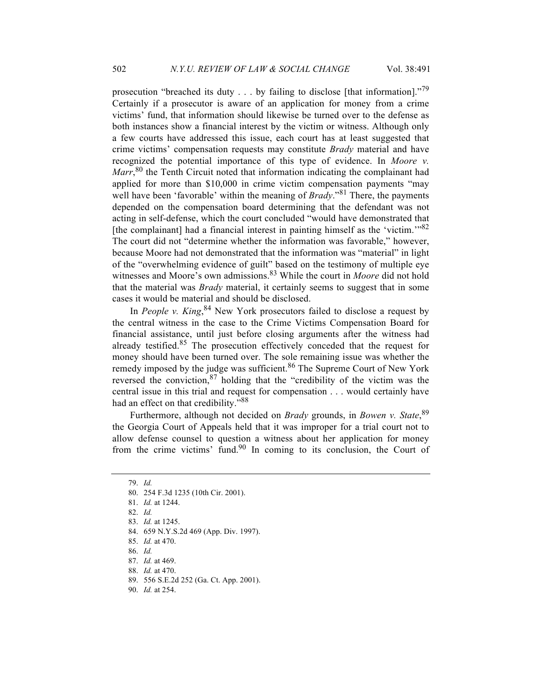prosecution "breached its duty  $\dots$  by failing to disclose [that information]."<sup>79</sup> Certainly if a prosecutor is aware of an application for money from a crime victims' fund, that information should likewise be turned over to the defense as both instances show a financial interest by the victim or witness. Although only a few courts have addressed this issue, each court has at least suggested that crime victims' compensation requests may constitute *Brady* material and have recognized the potential importance of this type of evidence. In *Moore v.*  Marr,<sup>80</sup> the Tenth Circuit noted that information indicating the complainant had applied for more than \$10,000 in crime victim compensation payments "may well have been 'favorable' within the meaning of *Brady*."<sup>81</sup> There, the payments depended on the compensation board determining that the defendant was not acting in self-defense, which the court concluded "would have demonstrated that [the complainant] had a financial interest in painting himself as the 'victim.'"82 The court did not "determine whether the information was favorable," however, because Moore had not demonstrated that the information was "material" in light of the "overwhelming evidence of guilt" based on the testimony of multiple eye witnesses and Moore's own admissions.<sup>83</sup> While the court in *Moore* did not hold that the material was *Brady* material, it certainly seems to suggest that in some cases it would be material and should be disclosed.

In *People v. King*,<sup>84</sup> New York prosecutors failed to disclose a request by the central witness in the case to the Crime Victims Compensation Board for financial assistance, until just before closing arguments after the witness had already testified. $85$  The prosecution effectively conceded that the request for money should have been turned over. The sole remaining issue was whether the remedy imposed by the judge was sufficient.<sup>86</sup> The Supreme Court of New York reversed the conviction,<sup>87</sup> holding that the "credibility of the victim was the central issue in this trial and request for compensation . . . would certainly have had an effect on that credibility."<sup>88</sup>

Furthermore, although not decided on *Brady* grounds, in *Bowen v. State*, 89 the Georgia Court of Appeals held that it was improper for a trial court not to allow defense counsel to question a witness about her application for money from the crime victims' fund. $90$  In coming to its conclusion, the Court of

<sup>79.</sup> *Id.*

<sup>80.</sup> 254 F.3d 1235 (10th Cir. 2001).

<sup>81.</sup> *Id.* at 1244.

<sup>82.</sup> *Id.*

<sup>83.</sup> *Id.* at 1245.

<sup>84.</sup> 659 N.Y.S.2d 469 (App. Div. 1997).

<sup>85.</sup> *Id.* at 470.

<sup>86.</sup> *Id.* 

<sup>87.</sup> *Id.* at 469.

<sup>88.</sup> *Id.* at 470.

<sup>89.</sup> 556 S.E.2d 252 (Ga. Ct. App. 2001).

<sup>90.</sup> *Id.* at 254.